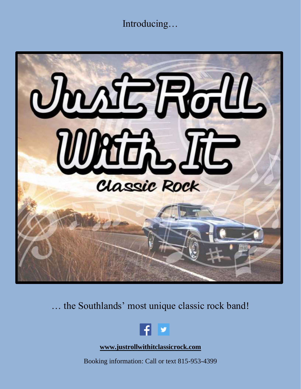Introducing…



… the Southlands' most unique classic rock band!



**[www.justrollwithitclassicrock.com](http://www.justrollwithitclassicrock.com/)**

Booking information: Call or text 815-953-4399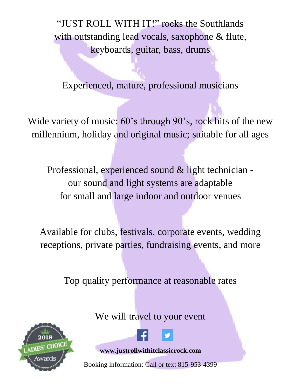"JUST ROLL WITH IT!" rocks the Southlands with outstanding lead vocals, saxophone & flute, keyboards, guitar, bass, drums

Experienced, mature, professional musicians

Wide variety of music: 60's through 90's, rock hits of the new millennium, holiday and original music; suitable for all ages

Professional, experienced sound & light technician our sound and light systems are adaptable for small and large indoor and outdoor venues

Available for clubs, festivals, corporate events, wedding receptions, private parties, fundraising events, and more

Top quality performance at reasonable rates

2018 S' CHOICE We will travel to your event



**[www.justrollwithitclassicrock.com](http://www.justrollwithitclassicrock.com/)**

Booking information: Call or text 815-953-4399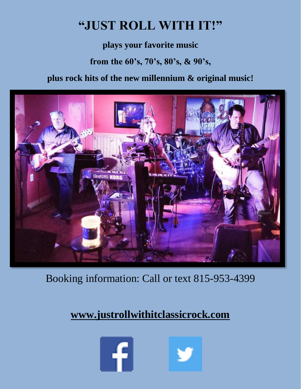## **"JUST ROLL WITH IT!"**

**plays your favorite music**

**from the 60's, 70's, 80's, & 90's,**

**plus rock hits of the new millennium & original music!**



Booking information: Call or text 815-953-4399

### **[www.justrollwithitclassicrock.com](http://www.justrollwithitclassicrock.com/)**



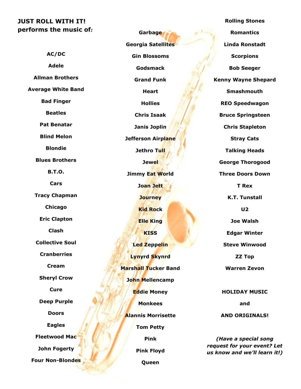#### **JUST ROLL WITH IT! performs the music of***:*

**AC/DC Adele Allman Brothers Average White Band Bad Finger Beatles Pat Benatar Blind Melon Blondie Blues Brothers B.T.O. Cars Tracy Chapman Chicago Eric Clapton Clash Collective Soul Cranberries Cream Sheryl Crow Cure Deep Purple Doors Eagles Fleetwood Mac John Fogerty Four Non-Blondes**

**Garbage Georgia Satellites Gin Blossoms Godsmack Grand Funk Heart Hollies Chris Isaak Janis Joplin Jefferson Airplane Jethro Tull Jewel Jimmy Eat World Joan Jett Journey Kid Rock Elle King KISS Led Zeppelin Lynyrd Skynrd Marshall Tucker Band John Mellencamp Eddie Money Monkees Alannis Morrisette Tom Petty Pink Pink Floyd**

**Queen**

**Rolling Stones Romantics Linda Ronstadt Scorpions Bob Seeger Kenny Wayne Shepard Smashmouth REO Speedwagon Bruce Springsteen Chris Stapleton Stray Cats Talking Heads George Thorogood Three Doors Down T Rex K.T. Tunstall U2 Joe Walsh Edgar Winter Steve Winwood ZZ Top Warren Zevon HOLIDAY MUSIC and** 

**AND ORIGINALS!**

*(Have a special song request for your event? Let us know and we'll learn it!)*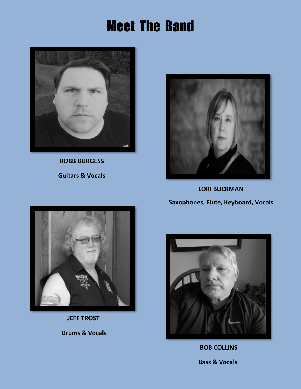# Meet The Band



 **ROBB BURGESS Guitars & Vocals** 



 **LORI BUCKMAN Saxophones, Flute, Keyboard, Vocals**



 **JEFF TROST**

 **Drums & Vocals**



 **BOB COLLINS**

 **Bass & Vocals**